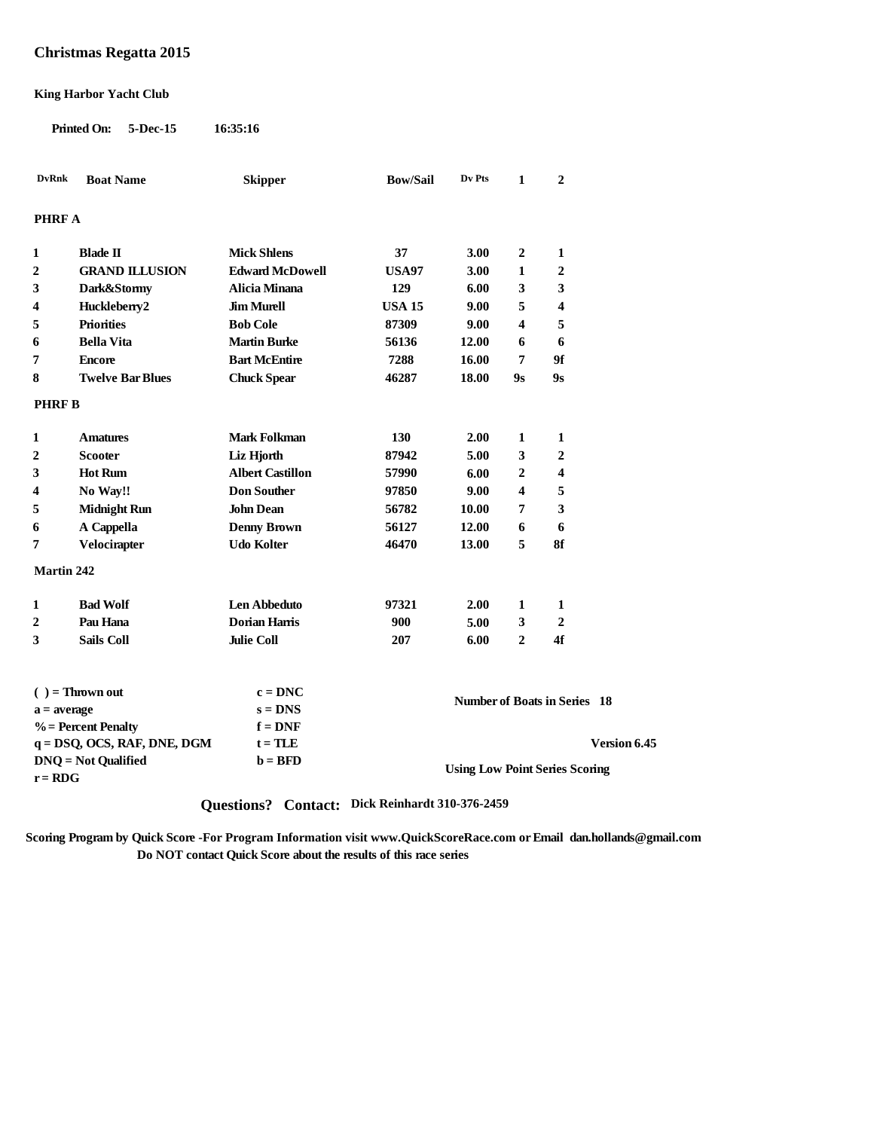### **Christmas Regatta 2015**

#### **King Harbor Yacht Club**

**Printed On: 5-Dec-15 16:35:16**

| <b>DvRnk</b>                        | <b>Boat Name</b>               | <b>Skipper</b>          | <b>Bow/Sail</b>                     | Dv Pts | 1                       | $\overline{2}$                                                                                                                |  |
|-------------------------------------|--------------------------------|-------------------------|-------------------------------------|--------|-------------------------|-------------------------------------------------------------------------------------------------------------------------------|--|
| <b>PHRF A</b>                       |                                |                         |                                     |        |                         |                                                                                                                               |  |
| 1                                   | <b>Blade II</b>                | <b>Mick Shlens</b>      | 37                                  | 3.00   | $\mathbf{2}$            | 1                                                                                                                             |  |
| $\mathbf{2}$                        | <b>GRAND ILLUSION</b>          | <b>Edward McDowell</b>  | <b>USA97</b>                        | 3.00   | $\mathbf{1}$            | $\overline{2}$                                                                                                                |  |
| 3                                   | Dark&Stormy                    | Alicia Minana           | 129                                 | 6.00   | 3                       | 3                                                                                                                             |  |
| 4                                   | Huckleberry2                   | <b>Jim Murell</b>       | <b>USA 15</b>                       | 9.00   | 5                       | $\overline{\mathbf{4}}$                                                                                                       |  |
| 5                                   | <b>Priorities</b>              | <b>Bob Cole</b>         | 87309                               | 9.00   | $\overline{\mathbf{4}}$ | 5                                                                                                                             |  |
| 6                                   | <b>Bella Vita</b>              | <b>Martin Burke</b>     | 56136                               | 12.00  | 6                       | 6                                                                                                                             |  |
| 7                                   | <b>Encore</b>                  | <b>Bart McEntire</b>    | 7288                                | 16.00  | 7                       | 9f                                                                                                                            |  |
| 8                                   | <b>Twelve Bar Blues</b>        | <b>Chuck Spear</b>      | 46287                               | 18.00  | 9s                      | 9s                                                                                                                            |  |
| <b>PHRF B</b>                       |                                |                         |                                     |        |                         |                                                                                                                               |  |
| 1                                   | <b>Amatures</b>                | <b>Mark Folkman</b>     | 130                                 | 2.00   | 1                       | 1                                                                                                                             |  |
| $\boldsymbol{2}$                    | <b>Scooter</b>                 | Liz Hjorth              | 87942                               | 5.00   | 3                       | $\boldsymbol{2}$                                                                                                              |  |
| 3                                   | <b>Hot Rum</b>                 | <b>Albert Castillon</b> | 57990                               | 6.00   | $\overline{2}$          | 4                                                                                                                             |  |
| 4                                   | No Way!!                       | <b>Don Souther</b>      | 97850                               | 9.00   | $\overline{\mathbf{4}}$ | 5                                                                                                                             |  |
| 5                                   | <b>Midnight Run</b>            | <b>John Dean</b>        | 56782                               | 10.00  | 7                       | 3                                                                                                                             |  |
| 6                                   | A Cappella                     | <b>Denny Brown</b>      | 56127                               | 12.00  | 6                       | 6                                                                                                                             |  |
| 7                                   | Velocirapter                   | <b>Udo Kolter</b>       | 46470                               | 13.00  | 5                       | 8f                                                                                                                            |  |
| <b>Martin 242</b>                   |                                |                         |                                     |        |                         |                                                                                                                               |  |
| 1                                   | <b>Bad Wolf</b>                | <b>Len Abbeduto</b>     | 97321                               | 2.00   | $\mathbf{1}$            | 1                                                                                                                             |  |
| 2                                   | Pau Hana                       | <b>Dorian Harris</b>    | 900                                 | 5.00   | 3                       | $\mathbf{2}$                                                                                                                  |  |
| 3                                   | <b>Sails Coll</b>              | <b>Julie Coll</b>       | 207                                 | 6.00   | $\mathbf{2}$            | 4f                                                                                                                            |  |
|                                     |                                | $c = DNC$               |                                     |        |                         |                                                                                                                               |  |
| $( ) =$ Thrown out<br>$a = average$ |                                | $s = DNS$               | <b>Number of Boats in Series 18</b> |        |                         |                                                                                                                               |  |
|                                     | $%$ = Percent Penalty          | $f = DNF$               |                                     |        |                         |                                                                                                                               |  |
|                                     | $q = DSQ$ , OCS, RAF, DNE, DGM | $t = TLE$               |                                     |        |                         | Version 6.45                                                                                                                  |  |
| <b>DNQ</b> = Not Qualified          |                                | $b = BFD$               |                                     |        |                         | $\mathbf{H} \cdot \mathbf{H}$ . $\mathbf{R} \cdot \mathbf{H}$ . $\mathbf{C} \cdot \mathbf{H}$ . $\mathbf{C} \cdot \mathbf{H}$ |  |

**r** = RDG<br> **r** = RDG<br> **r** = RDG

# **Questions? Contact: Dick Reinhardt 310-376-2459**

**Scoring Program by Quick Score -For Program Information visit www.QuickScoreRace.com or Email dan.hollands@gmail.com Do NOT contact Quick Score about the results of this race series**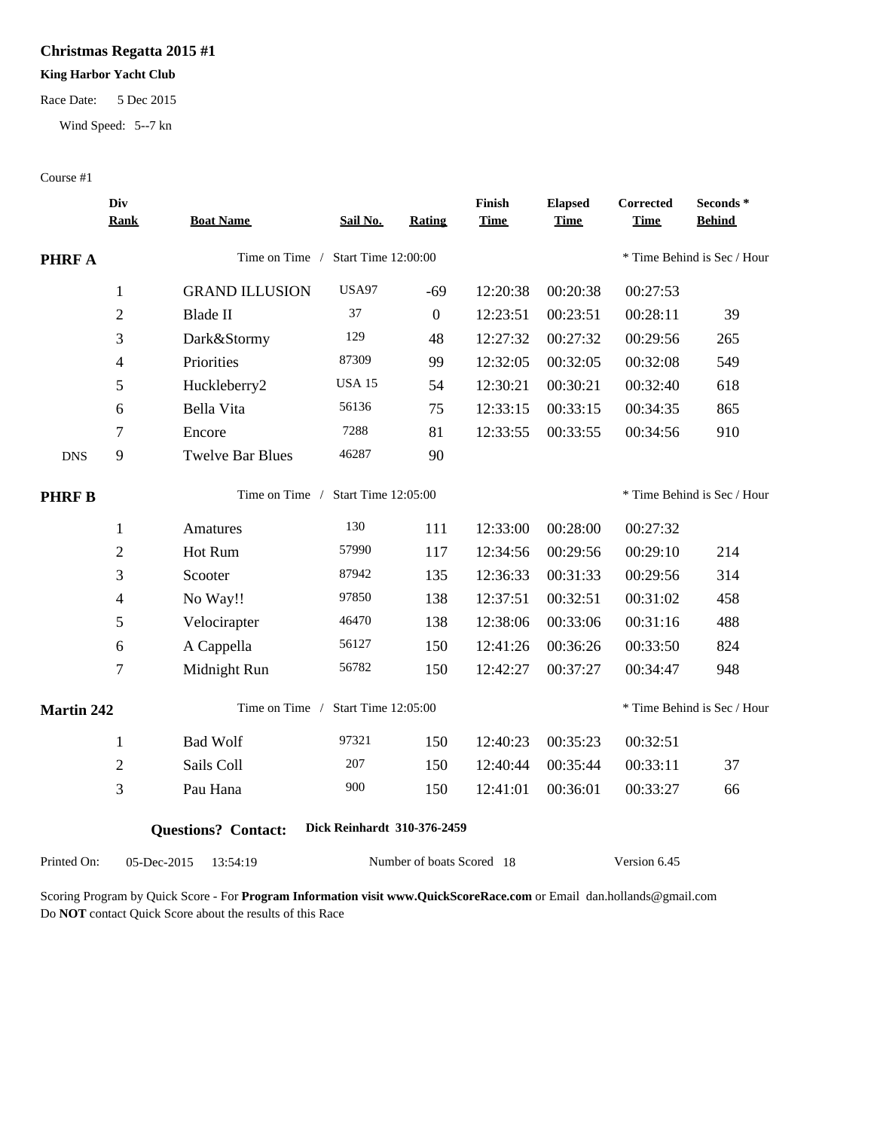## **Christmas Regatta 2015 #1**

### **King Harbor Yacht Club**

Race Date: 5 Dec 2015

Wind Speed: 5--7 kn

#### Course #1

|                   | Div<br><b>Rank</b>       | <b>Boat Name</b>           | Sail No.                    | Rating                    | Finish<br><b>Time</b> | <b>Elapsed</b><br><b>Time</b> | Corrected<br><b>Time</b>    | Seconds *<br><b>Behind</b>  |  |
|-------------------|--------------------------|----------------------------|-----------------------------|---------------------------|-----------------------|-------------------------------|-----------------------------|-----------------------------|--|
| <b>PHRF A</b>     |                          | Time on Time /             | Start Time 12:00:00         |                           |                       |                               |                             | * Time Behind is Sec / Hour |  |
|                   |                          |                            |                             |                           |                       |                               |                             |                             |  |
|                   | $\mathbf{1}$             | <b>GRAND ILLUSION</b>      | <b>USA97</b>                | $-69$                     | 12:20:38              | 00:20:38                      | 00:27:53                    |                             |  |
|                   | $\mathfrak{2}$           | <b>Blade II</b>            | 37                          | $\overline{0}$            | 12:23:51              | 00:23:51                      | 00:28:11                    | 39                          |  |
|                   | 3                        | Dark&Stormy                | 129                         | 48                        | 12:27:32              | 00:27:32                      | 00:29:56                    | 265                         |  |
|                   | $\overline{4}$           | Priorities                 | 87309                       | 99                        | 12:32:05              | 00:32:05                      | 00:32:08                    | 549                         |  |
|                   | 5                        | Huckleberry2               | <b>USA 15</b>               | 54                        | 12:30:21              | 00:30:21                      | 00:32:40                    | 618                         |  |
|                   | 6                        | Bella Vita                 | 56136                       | 75                        | 12:33:15              | 00:33:15                      | 00:34:35                    | 865                         |  |
|                   | $\tau$                   | Encore                     | 7288                        | 81                        | 12:33:55              | 00:33:55                      | 00:34:56                    | 910                         |  |
| <b>DNS</b>        | 9                        | <b>Twelve Bar Blues</b>    | 46287                       | 90                        |                       |                               |                             |                             |  |
| <b>PHRFB</b>      |                          | Time on Time /             | Start Time 12:05:00         |                           |                       |                               | * Time Behind is Sec / Hour |                             |  |
|                   | $\mathbf{1}$             | Amatures                   | 130                         | 111                       | 12:33:00              | 00:28:00                      | 00:27:32                    |                             |  |
|                   | $\overline{2}$           | Hot Rum                    | 57990                       | 117                       | 12:34:56              | 00:29:56                      | 00:29:10                    | 214                         |  |
|                   | 3                        | Scooter                    | 87942                       | 135                       | 12:36:33              | 00:31:33                      | 00:29:56                    | 314                         |  |
|                   | $\overline{\mathcal{A}}$ | No Way!!                   | 97850                       | 138                       | 12:37:51              | 00:32:51                      | 00:31:02                    | 458                         |  |
|                   | 5                        | Velocirapter               | 46470                       | 138                       | 12:38:06              | 00:33:06                      | 00:31:16                    | 488                         |  |
|                   | 6                        | A Cappella                 | 56127                       | 150                       | 12:41:26              | 00:36:26                      | 00:33:50                    | 824                         |  |
|                   | $\tau$                   | Midnight Run               | 56782                       | 150                       | 12:42:27              | 00:37:27                      | 00:34:47                    | 948                         |  |
| <b>Martin 242</b> |                          | Time on Time /             | Start Time 12:05:00         |                           |                       |                               |                             | * Time Behind is Sec / Hour |  |
|                   | $\mathbf{1}$             | <b>Bad Wolf</b>            | 97321                       | 150                       | 12:40:23              | 00:35:23                      | 00:32:51                    |                             |  |
|                   | $\overline{2}$           | Sails Coll                 | 207                         | 150                       | 12:40:44              | 00:35:44                      | 00:33:11                    | 37                          |  |
|                   | 3                        | Pau Hana                   | 900                         | 150                       | 12:41:01              | 00:36:01                      | 00:33:27                    | 66                          |  |
|                   |                          | <b>Questions?</b> Contact: | Dick Reinhardt 310-376-2459 |                           |                       |                               |                             |                             |  |
| Printed On:       |                          | 05-Dec-2015<br>13:54:19    |                             | Number of boats Scored 18 |                       |                               | Version 6.45                |                             |  |

Scoring Program by Quick Score - For **Program Information visit www.QuickScoreRace.com** or Email dan.hollands@gmail.com Do **NOT** contact Quick Score about the results of this Race